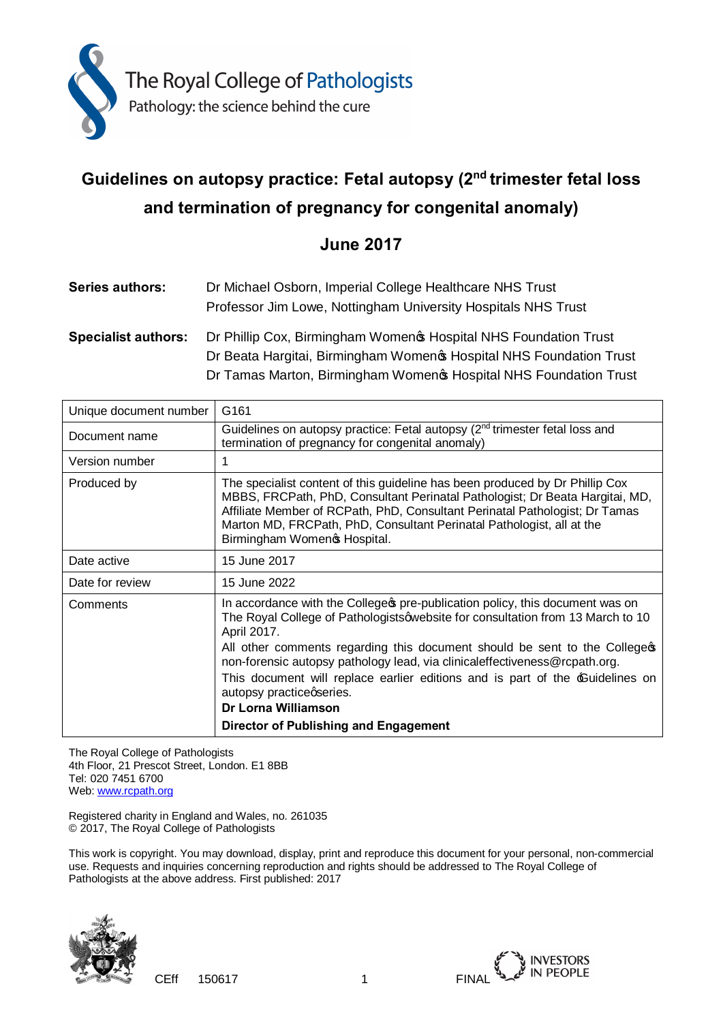

# **Guidelines on autopsy practice: Fetal autopsy (2nd trimester fetal loss and termination of pregnancy for congenital anomaly)**

# **June 2017**

| <b>Series authors:</b>     | Dr Michael Osborn, Imperial College Healthcare NHS Trust<br>Professor Jim Lowe, Nottingham University Hospitals NHS Trust               |
|----------------------------|-----------------------------------------------------------------------------------------------------------------------------------------|
| <b>Specialist authors:</b> | Dr Phillip Cox, Birmingham Women & Hospital NHS Foundation Trust<br>Dr Beata Hargitai, Birmingham Women & Hospital NHS Foundation Trust |
|                            | Dr Tamas Marton, Birmingham Women & Hospital NHS Foundation Trust                                                                       |

| Unique document number | G <sub>161</sub>                                                                                                                                                                                                                                                                                                                                                                                                                                              |
|------------------------|---------------------------------------------------------------------------------------------------------------------------------------------------------------------------------------------------------------------------------------------------------------------------------------------------------------------------------------------------------------------------------------------------------------------------------------------------------------|
| Document name          | Guidelines on autopsy practice: Fetal autopsy $(2^{nd}$ trimester fetal loss and<br>termination of pregnancy for congenital anomaly)                                                                                                                                                                                                                                                                                                                          |
| Version number         |                                                                                                                                                                                                                                                                                                                                                                                                                                                               |
| Produced by            | The specialist content of this guideline has been produced by Dr Phillip Cox<br>MBBS, FRCPath, PhD, Consultant Perinatal Pathologist; Dr Beata Hargitai, MD,<br>Affiliate Member of RCPath, PhD, Consultant Perinatal Pathologist; Dr Tamas<br>Marton MD, FRCPath, PhD, Consultant Perinatal Pathologist, all at the<br>Birmingham Womeno Hospital.                                                                                                           |
| Date active            | 15 June 2017                                                                                                                                                                                                                                                                                                                                                                                                                                                  |
| Date for review        | 15 June 2022                                                                                                                                                                                                                                                                                                                                                                                                                                                  |
| Comments               | In accordance with the College pre-publication policy, this document was on<br>The Royal College of Pathologistsqwebsite for consultation from 13 March to 10<br>April 2017.<br>All other comments regarding this document should be sent to the College op-<br>non-forensic autopsy pathology lead, via clinicaleffectiveness@rcpath.org.<br>This document will replace earlier editions and is part of the <b>Cuidelines</b> on<br>autopsy practiceqseries. |
|                        | <b>Dr Lorna Williamson</b>                                                                                                                                                                                                                                                                                                                                                                                                                                    |
|                        | Director of Publishing and Engagement                                                                                                                                                                                                                                                                                                                                                                                                                         |

The Royal College of Pathologists 4th Floor, 21 Prescot Street, London. E1 8BB Tel: 020 7451 6700 Web: [www.rcpath.org](http://www.rcpath.org/)

Registered charity in England and Wales, no. 261035 © 2017, The Royal College of Pathologists

This work is copyright. You may download, display, print and reproduce this document for your personal, non-commercial use. Requests and inquiries concerning reproduction and rights should be addressed to The Royal College of Pathologists at the above address. First published: 2017



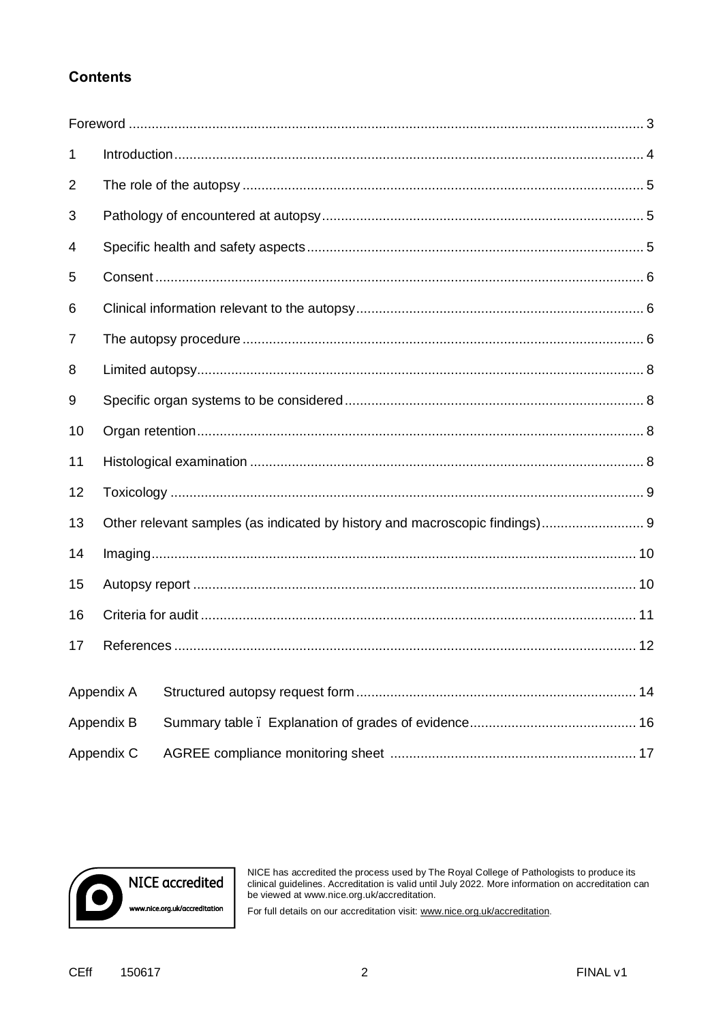# **Contents**

| 1          |            |  |  |
|------------|------------|--|--|
| 2          |            |  |  |
| 3          |            |  |  |
| 4          |            |  |  |
| 5          |            |  |  |
| 6          |            |  |  |
| 7          |            |  |  |
| 8          |            |  |  |
| 9          |            |  |  |
| 10         |            |  |  |
| 11         |            |  |  |
| 12         |            |  |  |
| 13         |            |  |  |
| 14         |            |  |  |
| 15         |            |  |  |
| 16         |            |  |  |
| 17         |            |  |  |
|            | Appendix A |  |  |
|            |            |  |  |
| Appendix B |            |  |  |
|            | Appendix C |  |  |



NICE has accredited the process used by The Royal College of Pathologists to produce its clinical guidelines. Accreditation is valid until July 2022. More information on accreditation can be viewed at www.nice.org.uk/accre

For full details on our accreditation visit: www.nice.org.uk/accreditation.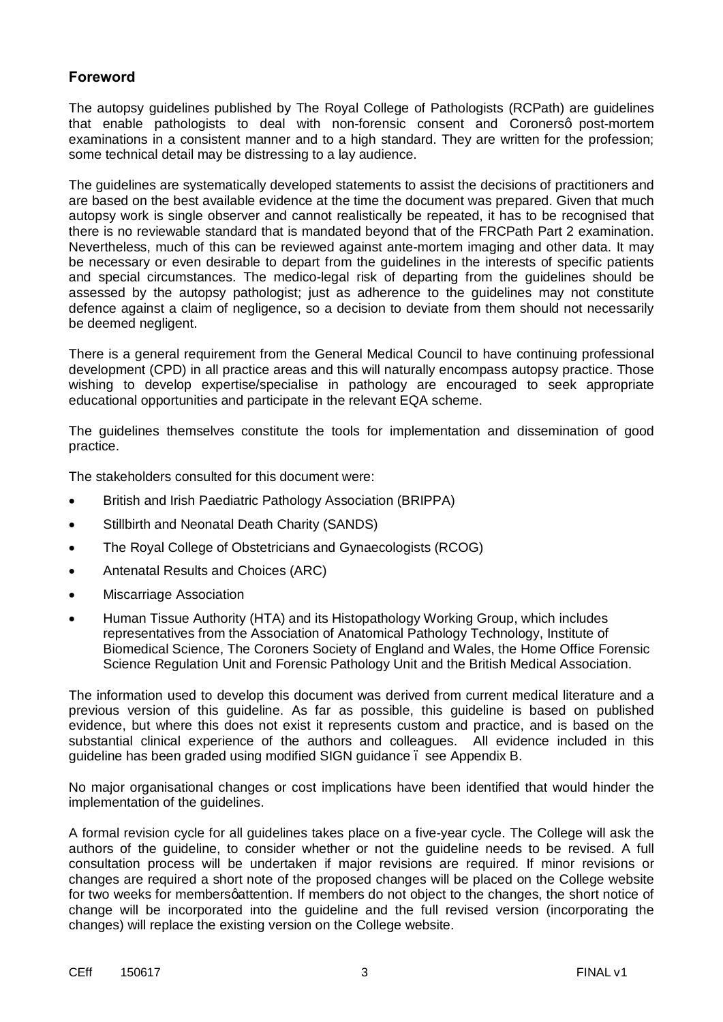# **Foreword**

The autopsy guidelines published by The Royal College of Pathologists (RCPath) are guidelines that enable pathologists to deal with non-forensic consent and Coronersq post-mortem examinations in a consistent manner and to a high standard. They are written for the profession; some technical detail may be distressing to a lay audience.

The guidelines are systematically developed statements to assist the decisions of practitioners and are based on the best available evidence at the time the document was prepared. Given that much autopsy work is single observer and cannot realistically be repeated, it has to be recognised that there is no reviewable standard that is mandated beyond that of the FRCPath Part 2 examination. Nevertheless, much of this can be reviewed against ante-mortem imaging and other data. It may be necessary or even desirable to depart from the guidelines in the interests of specific patients and special circumstances. The medico-legal risk of departing from the guidelines should be assessed by the autopsy pathologist; just as adherence to the guidelines may not constitute defence against a claim of negligence, so a decision to deviate from them should not necessarily be deemed negligent.

There is a general requirement from the General Medical Council to have continuing professional development (CPD) in all practice areas and this will naturally encompass autopsy practice. Those wishing to develop expertise/specialise in pathology are encouraged to seek appropriate educational opportunities and participate in the relevant EQA scheme.

The guidelines themselves constitute the tools for implementation and dissemination of good practice.

The stakeholders consulted for this document were:

- · British and Irish Paediatric Pathology Association (BRIPPA)
- · Stillbirth and Neonatal Death Charity (SANDS)
- · The Royal College of Obstetricians and Gynaecologists (RCOG)
- · Antenatal Results and Choices (ARC)
- · Miscarriage Association
- · Human Tissue Authority (HTA) and its Histopathology Working Group, which includes representatives from the Association of Anatomical Pathology Technology, Institute of Biomedical Science, The Coroners Society of England and Wales, the Home Office Forensic Science Regulation Unit and Forensic Pathology Unit and the British Medical Association.

The information used to develop this document was derived from current medical literature and a previous version of this guideline. As far as possible, this guideline is based on published evidence, but where this does not exist it represents custom and practice, and is based on the substantial clinical experience of the authors and colleagues. All evidence included in this guideline has been graded using modified SIGN guidance – see Appendix B.

No major organisational changes or cost implications have been identified that would hinder the implementation of the guidelines.

A formal revision cycle for all guidelines takes place on a five-year cycle. The College will ask the authors of the guideline, to consider whether or not the guideline needs to be revised. A full consultation process will be undertaken if major revisions are required. If minor revisions or changes are required a short note of the proposed changes will be placed on the College website for two weeks for members attention. If members do not object to the changes, the short notice of change will be incorporated into the guideline and the full revised version (incorporating the changes) will replace the existing version on the College website.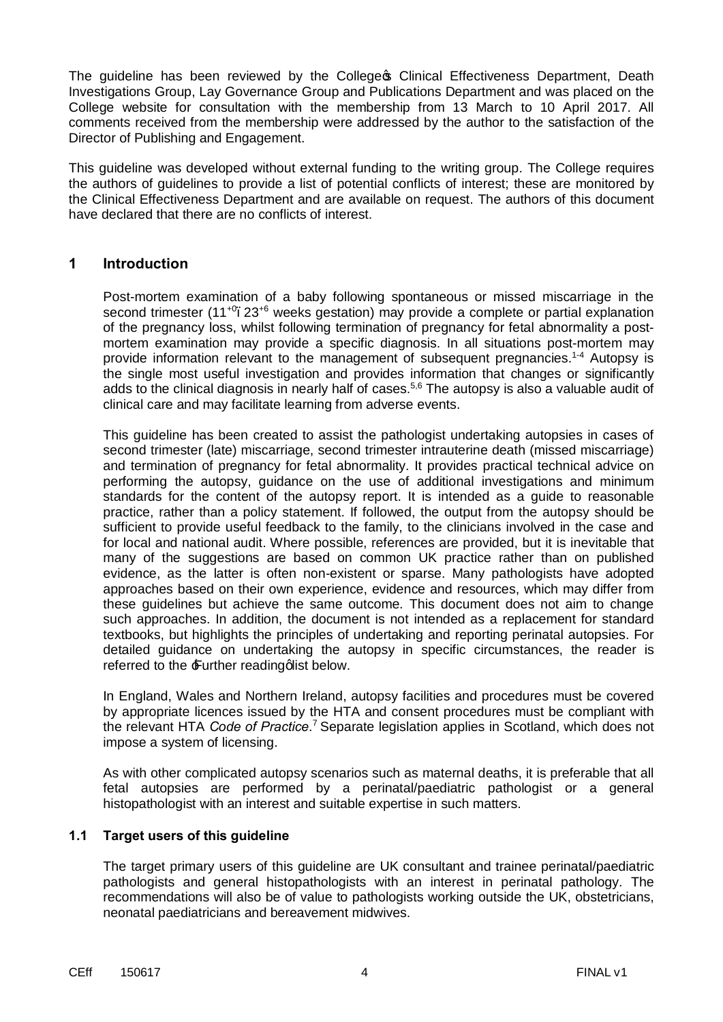The quideline has been reviewed by the College **S** Clinical Effectiveness Department, Death Investigations Group, Lay Governance Group and Publications Department and was placed on the College website for consultation with the membership from 13 March to 10 April 2017. All comments received from the membership were addressed by the author to the satisfaction of the Director of Publishing and Engagement.

This guideline was developed without external funding to the writing group. The College requires the authors of guidelines to provide a list of potential conflicts of interest; these are monitored by the Clinical Effectiveness Department and are available on request. The authors of this document have declared that there are no conflicts of interest.

### **1 Introduction**

Post-mortem examination of a baby following spontaneous or missed miscarriage in the second trimester  $(11^{+0}$ . 23<sup>+6</sup> weeks gestation) may provide a complete or partial explanation of the pregnancy loss, whilst following termination of pregnancy for fetal abnormality a postmortem examination may provide a specific diagnosis. In all situations post-mortem may provide information relevant to the management of subsequent pregnancies.<sup>1-4</sup> Autopsy is the single most useful investigation and provides information that changes or significantly adds to the clinical diagnosis in nearly half of cases.<sup>5,6</sup> The autopsy is also a valuable audit of clinical care and may facilitate learning from adverse events.

This guideline has been created to assist the pathologist undertaking autopsies in cases of second trimester (late) miscarriage, second trimester intrauterine death (missed miscarriage) and termination of pregnancy for fetal abnormality. It provides practical technical advice on performing the autopsy, guidance on the use of additional investigations and minimum standards for the content of the autopsy report. It is intended as a guide to reasonable practice, rather than a policy statement. If followed, the output from the autopsy should be sufficient to provide useful feedback to the family, to the clinicians involved in the case and for local and national audit. Where possible, references are provided, but it is inevitable that many of the suggestions are based on common UK practice rather than on published evidence, as the latter is often non-existent or sparse. Many pathologists have adopted approaches based on their own experience, evidence and resources, which may differ from these guidelines but achieve the same outcome. This document does not aim to change such approaches. In addition, the document is not intended as a replacement for standard textbooks, but highlights the principles of undertaking and reporting perinatal autopsies. For detailed guidance on undertaking the autopsy in specific circumstances, the reader is referred to the  $\pm$ urther reading qlist below.

In England, Wales and Northern Ireland, autopsy facilities and procedures must be covered by appropriate licences issued by the HTA and consent procedures must be compliant with the relevant HTA *Code of Practice*. <sup>7</sup> Separate legislation applies in Scotland, which does not impose a system of licensing.

As with other complicated autopsy scenarios such as maternal deaths, it is preferable that all fetal autopsies are performed by a perinatal/paediatric pathologist or a general histopathologist with an interest and suitable expertise in such matters.

#### **1.1 Target users of this guideline**

The target primary users of this guideline are UK consultant and trainee perinatal/paediatric pathologists and general histopathologists with an interest in perinatal pathology. The recommendations will also be of value to pathologists working outside the UK, obstetricians, neonatal paediatricians and bereavement midwives.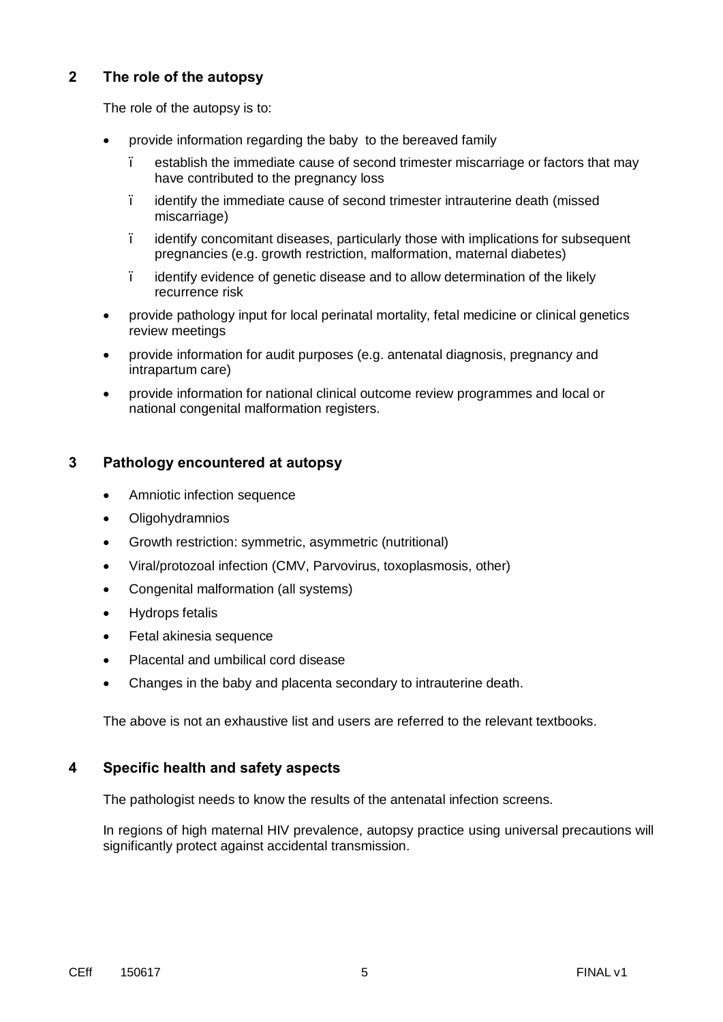# **2 The role of the autopsy**

The role of the autopsy is to:

- provide information regarding the baby to the bereaved family
	- establish the immediate cause of second trimester miscarriage or factors that may have contributed to the pregnancy loss
	- identify the immediate cause of second trimester intrauterine death (missed miscarriage)
	- identify concomitant diseases, particularly those with implications for subsequent pregnancies (e.g. growth restriction, malformation, maternal diabetes)
	- identify evidence of genetic disease and to allow determination of the likely recurrence risk
- · provide pathology input for local perinatal mortality, fetal medicine or clinical genetics review meetings
- · provide information for audit purposes (e.g. antenatal diagnosis, pregnancy and intrapartum care)
- · provide information for national clinical outcome review programmes and local or national congenital malformation registers.

# **3 Pathology encountered at autopsy**

- · Amniotic infection sequence
- **Oligohydramnios**
- Growth restriction: symmetric, asymmetric (nutritional)
- · Viral/protozoal infection (CMV, Parvovirus, toxoplasmosis, other)
- · Congenital malformation (all systems)
- · Hydrops fetalis
- Fetal akinesia sequence
- Placental and umbilical cord disease
- Changes in the baby and placenta secondary to intrauterine death.

The above is not an exhaustive list and users are referred to the relevant textbooks.

# **4 Specific health and safety aspects**

The pathologist needs to know the results of the antenatal infection screens.

In regions of high maternal HIV prevalence, autopsy practice using universal precautions will significantly protect against accidental transmission.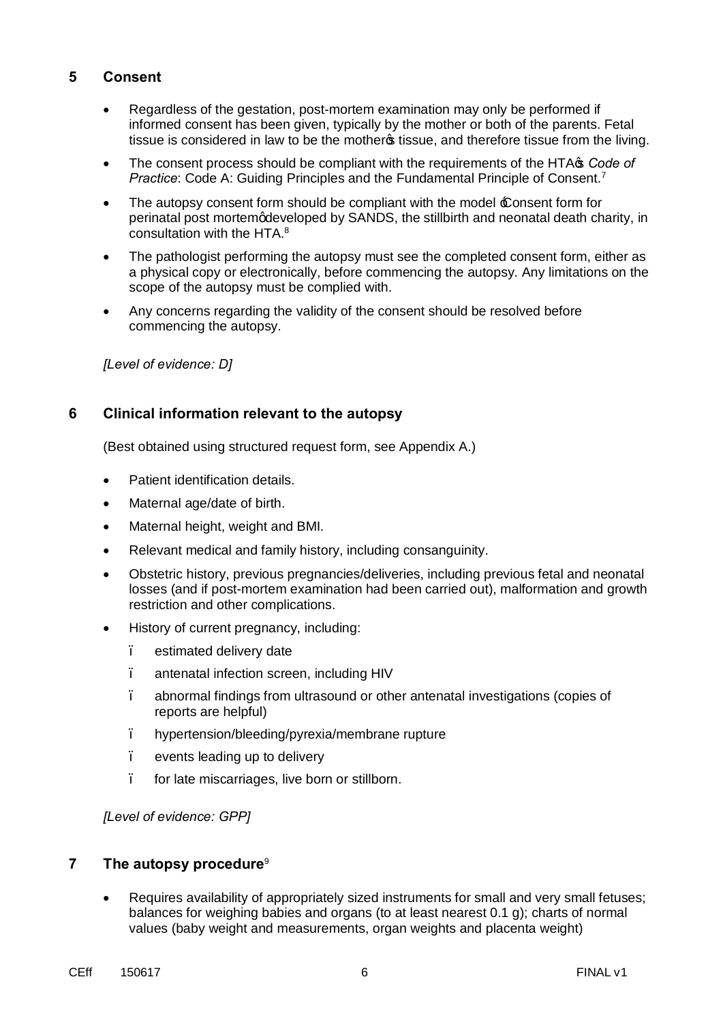# **5 Consent**

- · Regardless of the gestation, post-mortem examination may only be performed if informed consent has been given, typically by the mother or both of the parents. Fetal tissue is considered in law to be the mother issue, and therefore tissue from the living.
- The consent process should be compliant with the requirements of the HTA<sup>s</sup> *Code of Practice*: Code A: Guiding Principles and the Fundamental Principle of Consent.7
- The autopsy consent form should be compliant with the model  $\pounds$  onsent form for perinatal post mortem gdeveloped by SANDS, the stillbirth and neonatal death charity, in consultation with the HTA.<sup>8</sup>
- The pathologist performing the autopsy must see the completed consent form, either as a physical copy or electronically, before commencing the autopsy. Any limitations on the scope of the autopsy must be complied with.
- Any concerns regarding the validity of the consent should be resolved before commencing the autopsy.

*[Level of evidence: D]*

# **6 Clinical information relevant to the autopsy**

(Best obtained using structured request form, see Appendix A.)

- Patient identification details.
- Maternal age/date of birth.
- · Maternal height, weight and BMI.
- Relevant medical and family history, including consanguinity.
- · Obstetric history, previous pregnancies/deliveries, including previous fetal and neonatal losses (and if post-mortem examination had been carried out), malformation and growth restriction and other complications.
- History of current pregnancy, including:
	- estimated delivery date
	- antenatal infection screen, including HIV
	- abnormal findings from ultrasound or other antenatal investigations (copies of reports are helpful)
	- hypertension/bleeding/pyrexia/membrane rupture
	- events leading up to delivery
	- for late miscarriages, live born or stillborn.

*[Level of evidence: GPP]*

#### **7 The autopsy procedure**<sup>9</sup>

Requires availability of appropriately sized instruments for small and very small fetuses; balances for weighing babies and organs (to at least nearest 0.1 g); charts of normal values (baby weight and measurements, organ weights and placenta weight)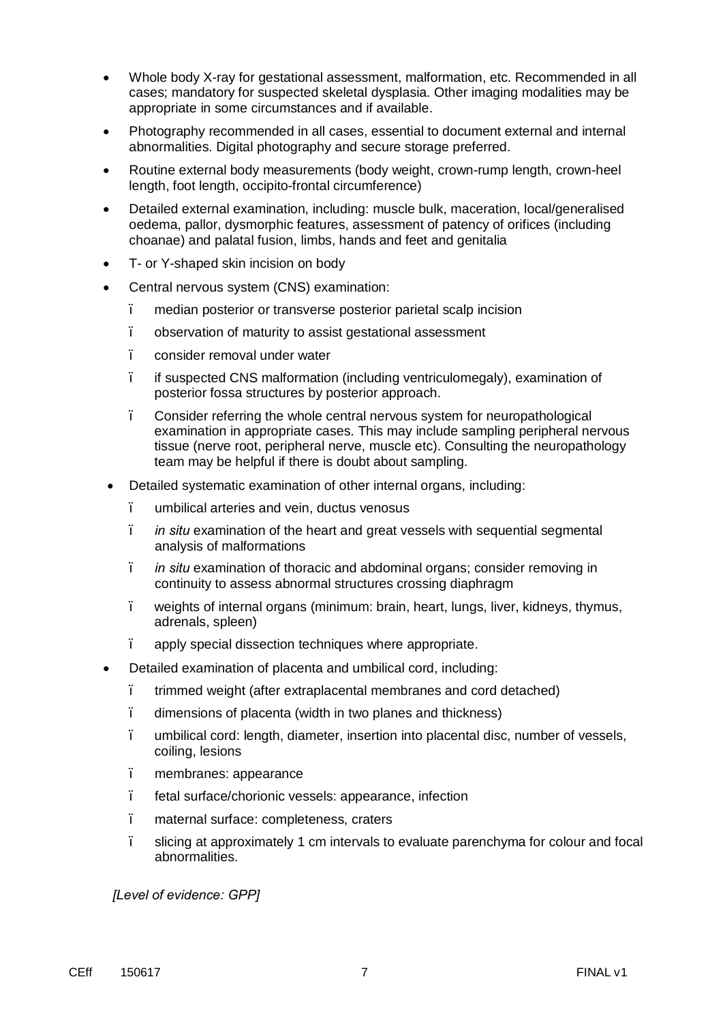- · Whole body X-ray for gestational assessment, malformation, etc. Recommended in all cases; mandatory for suspected skeletal dysplasia. Other imaging modalities may be appropriate in some circumstances and if available.
- · Photography recommended in all cases, essential to document external and internal abnormalities. Digital photography and secure storage preferred.
- Routine external body measurements (body weight, crown-rump length, crown-heel length, foot length, occipito-frontal circumference)
- Detailed external examination, including: muscle bulk, maceration, local/generalised oedema, pallor, dysmorphic features, assessment of patency of orifices (including choanae) and palatal fusion, limbs, hands and feet and genitalia
- T- or Y-shaped skin incision on body
- Central nervous system (CNS) examination:
	- median posterior or transverse posterior parietal scalp incision
	- observation of maturity to assist gestational assessment
	- consider removal under water
	- if suspected CNS malformation (including ventriculomegaly), examination of posterior fossa structures by posterior approach.
	- Consider referring the whole central nervous system for neuropathological examination in appropriate cases. This may include sampling peripheral nervous tissue (nerve root, peripheral nerve, muscle etc). Consulting the neuropathology team may be helpful if there is doubt about sampling.
- · Detailed systematic examination of other internal organs, including:
	- umbilical arteries and vein, ductus venosus
	- *in situ* examination of the heart and great vessels with sequential segmental analysis of malformations
	- *in situ* examination of thoracic and abdominal organs; consider removing in continuity to assess abnormal structures crossing diaphragm
	- weights of internal organs (minimum: brain, heart, lungs, liver, kidneys, thymus, adrenals, spleen)
	- apply special dissection techniques where appropriate.
- · Detailed examination of placenta and umbilical cord, including:
	- trimmed weight (after extraplacental membranes and cord detached)
	- dimensions of placenta (width in two planes and thickness)
	- umbilical cord: length, diameter, insertion into placental disc, number of vessels, coiling, lesions
	- membranes: appearance
	- fetal surface/chorionic vessels: appearance, infection
	- maternal surface: completeness, craters
	- slicing at approximately 1 cm intervals to evaluate parenchyma for colour and focal abnormalities.

*[Level of evidence: GPP]*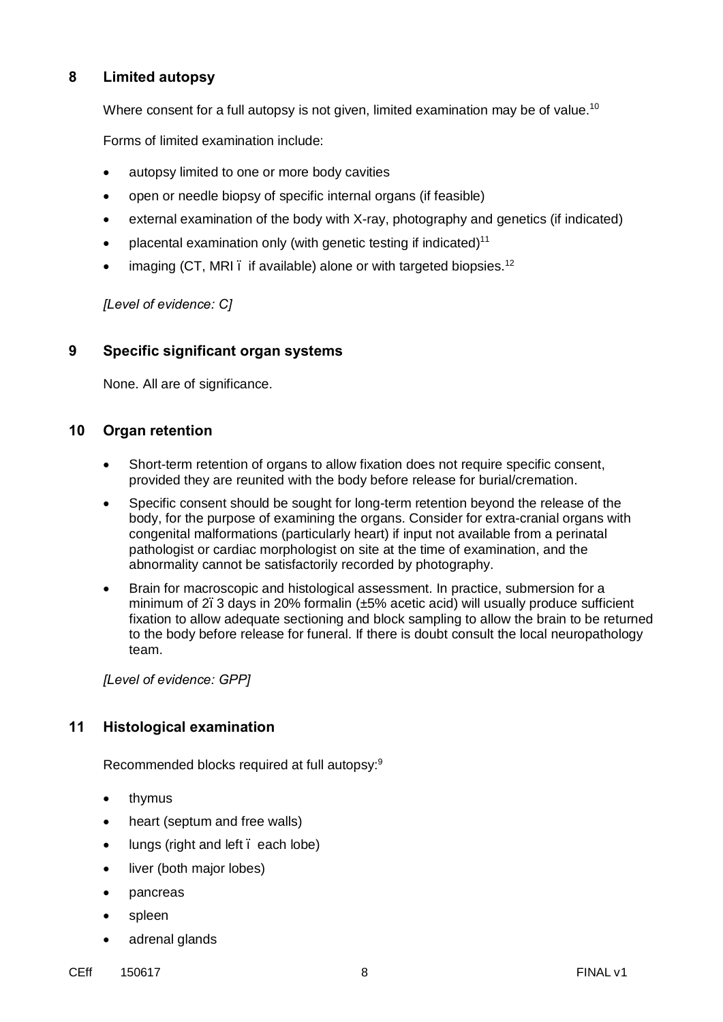# **8 Limited autopsy**

Where consent for a full autopsy is not given, limited examination may be of value.<sup>10</sup>

Forms of limited examination include:

- autopsy limited to one or more body cavities
- · open or needle biopsy of specific internal organs (if feasible)
- external examination of the body with X-ray, photography and genetics (if indicated)
- placental examination only (with genetic testing if indicated) $11$
- imaging (CT, MRI . if available) alone or with targeted biopsies.<sup>12</sup>

*[Level of evidence: C]*

### **9 Specific significant organ systems**

None. All are of significance.

#### **10 Organ retention**

- · Short-term retention of organs to allow fixation does not require specific consent, provided they are reunited with the body before release for burial/cremation.
- Specific consent should be sought for long-term retention beyond the release of the body, for the purpose of examining the organs. Consider for extra-cranial organs with congenital malformations (particularly heart) if input not available from a perinatal pathologist or cardiac morphologist on site at the time of examination, and the abnormality cannot be satisfactorily recorded by photography.
- · Brain for macroscopic and histological assessment. In practice, submersion for a minimum of 2. 3 days in 20% formalin  $(\pm 5\%$  acetic acid) will usually produce sufficient fixation to allow adequate sectioning and block sampling to allow the brain to be returned to the body before release for funeral. If there is doubt consult the local neuropathology team.

*[Level of evidence: GPP]*

# **11 Histological examination**

Recommended blocks required at full autopsy:<sup>9</sup>

- · thymus
- heart (septum and free walls)
- lungs (right and left, each lobe)
- liver (both major lobes)
- · pancreas
- · spleen
- adrenal glands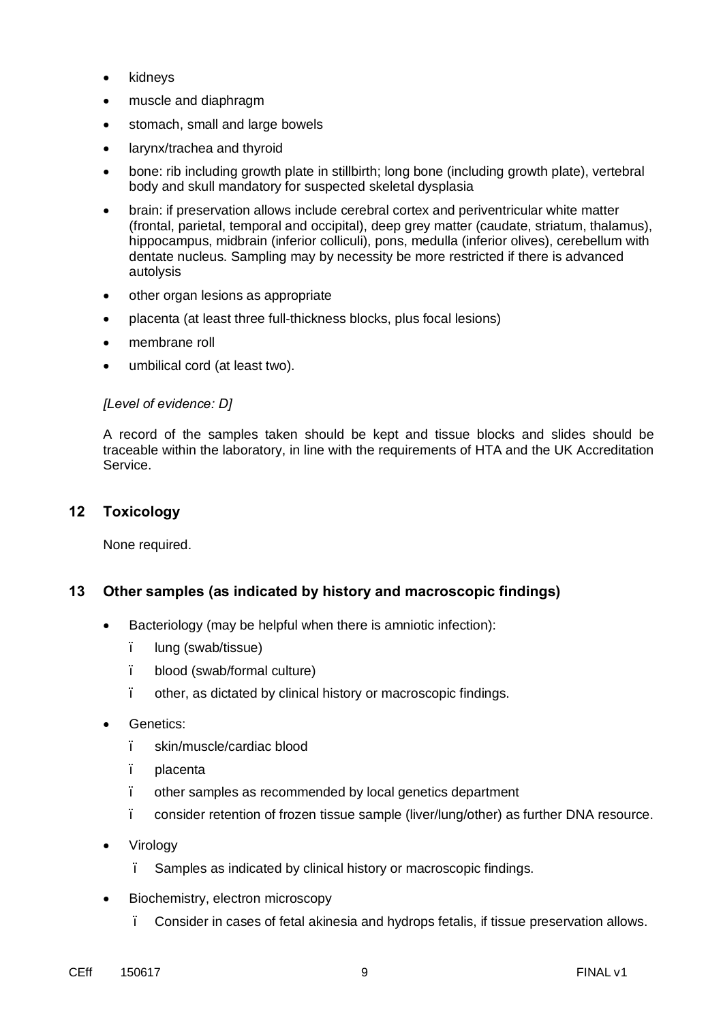- kidneys
- · muscle and diaphragm
- stomach, small and large bowels
- larynx/trachea and thyroid
- bone: rib including growth plate in stillbirth; long bone (including growth plate), vertebral body and skull mandatory for suspected skeletal dysplasia
- · brain: if preservation allows include cerebral cortex and periventricular white matter (frontal, parietal, temporal and occipital), deep grey matter (caudate, striatum, thalamus), hippocampus, midbrain (inferior colliculi), pons, medulla (inferior olives), cerebellum with dentate nucleus. Sampling may by necessity be more restricted if there is advanced autolysis
- other organ lesions as appropriate
- · placenta (at least three full-thickness blocks, plus focal lesions)
- membrane roll
- umbilical cord (at least two).

#### *[Level of evidence: D]*

A record of the samples taken should be kept and tissue blocks and slides should be traceable within the laboratory, in line with the requirements of HTA and the UK Accreditation Service.

#### **12 Toxicology**

None required.

#### **13 Other samples (as indicated by history and macroscopic findings)**

- Bacteriology (may be helpful when there is amniotic infection):
	- lung (swab/tissue)
	- blood (swab/formal culture)
	- other, as dictated by clinical history or macroscopic findings.
- Genetics:
	- skin/muscle/cardiac blood
	- placenta
	- other samples as recommended by local genetics department
	- consider retention of frozen tissue sample (liver/lung/other) as further DNA resource.
- · Virology
	- Samples as indicated by clinical history or macroscopic findings.
- Biochemistry, electron microscopy
	- Consider in cases of fetal akinesia and hydrops fetalis, if tissue preservation allows.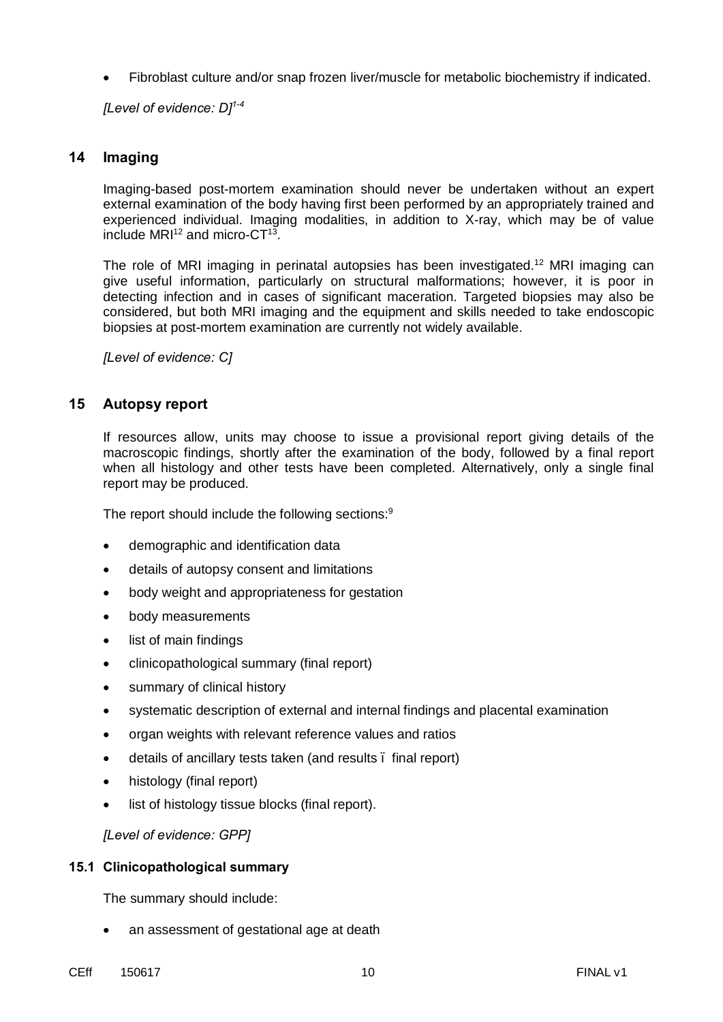· Fibroblast culture and/or snap frozen liver/muscle for metabolic biochemistry if indicated.

*[Level of evidence: D] 1-4*

# **14 Imaging**

Imaging-based post-mortem examination should never be undertaken without an expert external examination of the body having first been performed by an appropriately trained and experienced individual. Imaging modalities, in addition to X-ray, which may be of value include  $MRI<sup>12</sup>$  and micro-CT<sup>13</sup>.

The role of MRI imaging in perinatal autopsies has been investigated.<sup>12</sup> MRI imaging can give useful information, particularly on structural malformations; however, it is poor in detecting infection and in cases of significant maceration. Targeted biopsies may also be considered, but both MRI imaging and the equipment and skills needed to take endoscopic biopsies at post-mortem examination are currently not widely available.

*[Level of evidence: C]*

# **15 Autopsy report**

If resources allow, units may choose to issue a provisional report giving details of the macroscopic findings, shortly after the examination of the body, followed by a final report when all histology and other tests have been completed. Alternatively, only a single final report may be produced.

The report should include the following sections:<sup>9</sup>

- demographic and identification data
- details of autopsy consent and limitations
- body weight and appropriateness for gestation
- body measurements
- list of main findings
- · clinicopathological summary (final report)
- summary of clinical history
- systematic description of external and internal findings and placental examination
- · organ weights with relevant reference values and ratios
- · details of ancillary tests taken (and results final report)
- histology (final report)
- list of histology tissue blocks (final report).

*[Level of evidence: GPP]*

#### **15.1 Clinicopathological summary**

The summary should include:

- an assessment of gestational age at death
- CEff 150617 10 FINAL v1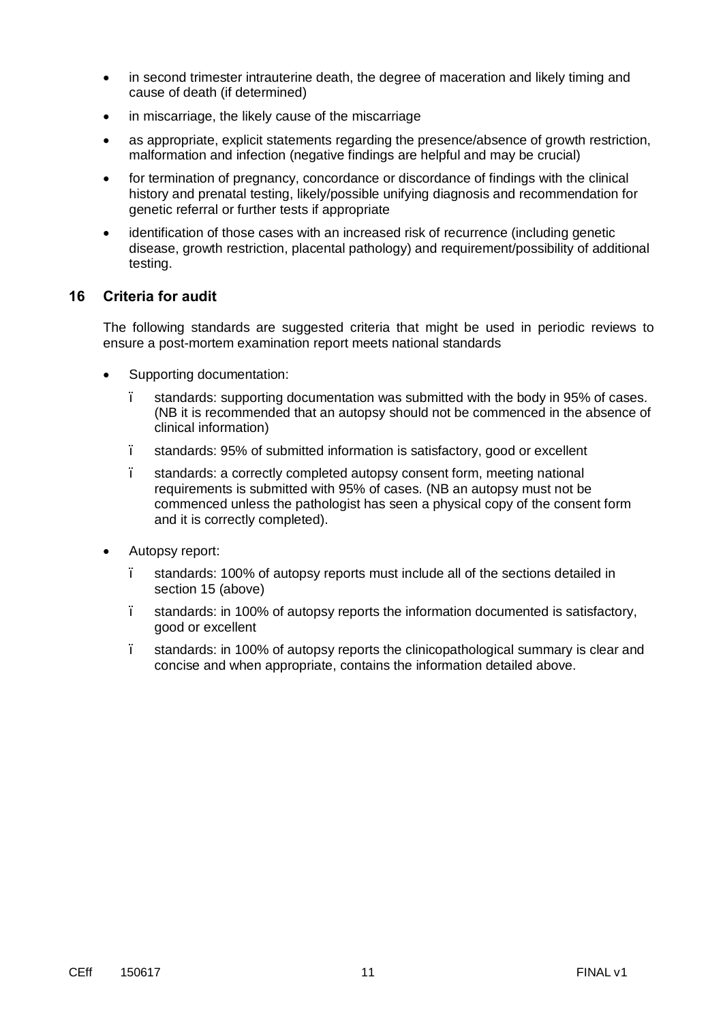- in second trimester intrauterine death, the degree of maceration and likely timing and cause of death (if determined)
- in miscarriage, the likely cause of the miscarriage
- as appropriate, explicit statements regarding the presence/absence of growth restriction, malformation and infection (negative findings are helpful and may be crucial)
- for termination of pregnancy, concordance or discordance of findings with the clinical history and prenatal testing, likely/possible unifying diagnosis and recommendation for genetic referral or further tests if appropriate
- identification of those cases with an increased risk of recurrence (including genetic disease, growth restriction, placental pathology) and requirement/possibility of additional testing.

# **16 Criteria for audit**

The following standards are suggested criteria that might be used in periodic reviews to ensure a post-mortem examination report meets national standards

- Supporting documentation:
	- standards: supporting documentation was submitted with the body in 95% of cases. (NB it is recommended that an autopsy should not be commenced in the absence of clinical information)
	- standards: 95% of submitted information is satisfactory, good or excellent
	- standards: a correctly completed autopsy consent form, meeting national requirements is submitted with 95% of cases. (NB an autopsy must not be commenced unless the pathologist has seen a physical copy of the consent form and it is correctly completed).
- Autopsy report:
	- standards: 100% of autopsy reports must include all of the sections detailed in section 15 (above)
	- standards: in 100% of autopsy reports the information documented is satisfactory, good or excellent
	- standards: in 100% of autopsy reports the clinicopathological summary is clear and concise and when appropriate, contains the information detailed above.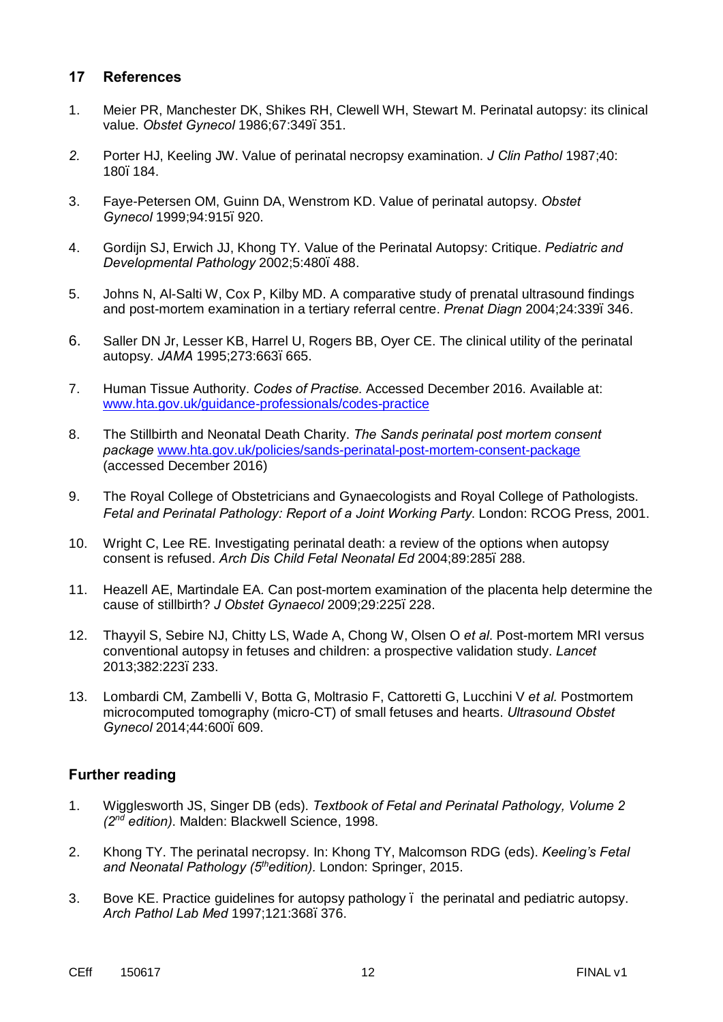### **17 References**

- 1. Meier PR, Manchester DK, Shikes RH, Clewell WH, Stewart M. Perinatal autopsy: its clinical value. *Obstet Gynecol* 1986;67:349–351.
- *2.* Porter HJ, Keeling JW. Value of perinatal necropsy examination. *J Clin Pathol* 1987;40: 180–184.
- 3. [Faye-Petersen OM,](http://www.ncbi.nlm.nih.gov/pubmed/?term=Faye-Petersen%20OM%5BAuthor%5D&cauthor=true&cauthor_uid=10576175) [Guinn DA,](http://www.ncbi.nlm.nih.gov/pubmed/?term=Guinn%20DA%5BAuthor%5D&cauthor=true&cauthor_uid=10576175) [Wenstrom KD.](http://www.ncbi.nlm.nih.gov/pubmed/?term=Wenstrom%20KD%5BAuthor%5D&cauthor=true&cauthor_uid=10576175) Value of perinatal autopsy. *[Obstet](http://www.ncbi.nlm.nih.gov/pubmed/10576175)  [Gynecol](http://www.ncbi.nlm.nih.gov/pubmed/10576175)* 1999;94:915–920.
- 4. Gordijn SJ, Erwich JJ, Khong TY. Value of the Perinatal Autopsy: Critique. *Pediatric and Developmental Pathology* 2002;5:480–488.
- 5. Johns N, Al-Salti W, Cox P, Kilby MD. A comparative study of prenatal ultrasound findings and post-mortem examination in a tertiary referral centre. *Prenat Diagn* 2004;24:339–346.
- 6. Saller DN Jr, Lesser KB, Harrel U, Rogers BB, Oyer CE. The clinical utility of the perinatal autopsy. *JAMA* 1995;273:663–665.
- 7. Human Tissue Authority. *Codes of Practise.* Accessed December 2016. Available at: [www.hta.gov.uk/guidance-professionals/codes-practice](http://www.hta.gov.uk/guidance-professionals/codes-practice)
- 8. The Stillbirth and Neonatal Death Charity. *The Sands perinatal post mortem consent package* [www.hta.gov.uk/policies/sands-perinatal-post-mortem-consent-package](http://www.hta.gov.uk/policies/sands-perinatal-post-mortem-consent-package) (accessed December 2016)
- 9. The Royal College of Obstetricians and Gynaecologists and Royal College of Pathologists. *Fetal and Perinatal Pathology: Report of a Joint Working Party*. London: RCOG Press, 2001.
- 10. Wright C, Lee RE. Investigating perinatal death: a review of the options when autopsy consent is refused. *Arch Dis Child Fetal Neonatal Ed* 2004;89:285–288.
- 11. Heazell AE, Martindale EA*.* Can post-mortem examination of the placenta help determine the cause of stillbirth? *J Obstet Gynaecol* 2009;29:225–228.
- 12. Thayyil S, Sebire NJ, Chitty LS, Wade A, Chong W, Olsen O *et al*. Post-mortem MRI versus conventional autopsy in fetuses and children: a prospective validation study. *Lancet* 2013;382:223–233.
- 13. Lombardi CM, Zambelli V, Botta G, Moltrasio F, Cattoretti G, Lucchini V *et al.* Postmortem microcomputed tomography (micro-CT) of small fetuses and hearts. *Ultrasound Obstet Gynecol* 2014;44:600–609.

# **Further reading**

- 1. Wigglesworth JS, Singer DB (eds). *Textbook of Fetal and Perinatal Pathology, Volume 2 (2nd edition)*. Malden: Blackwell Science, 1998.
- 2. Khong TY. The perinatal necropsy. In: Khong TY, Malcomson RDG (eds). *Keeling's Fetal and Neonatal Pathology (5thedition).* London: Springer, 2015.
- 3. Bove KE. Practice guidelines for autopsy pathology the perinatal and pediatric autopsy. *Arch Pathol Lab Med* 1997;121:368–376.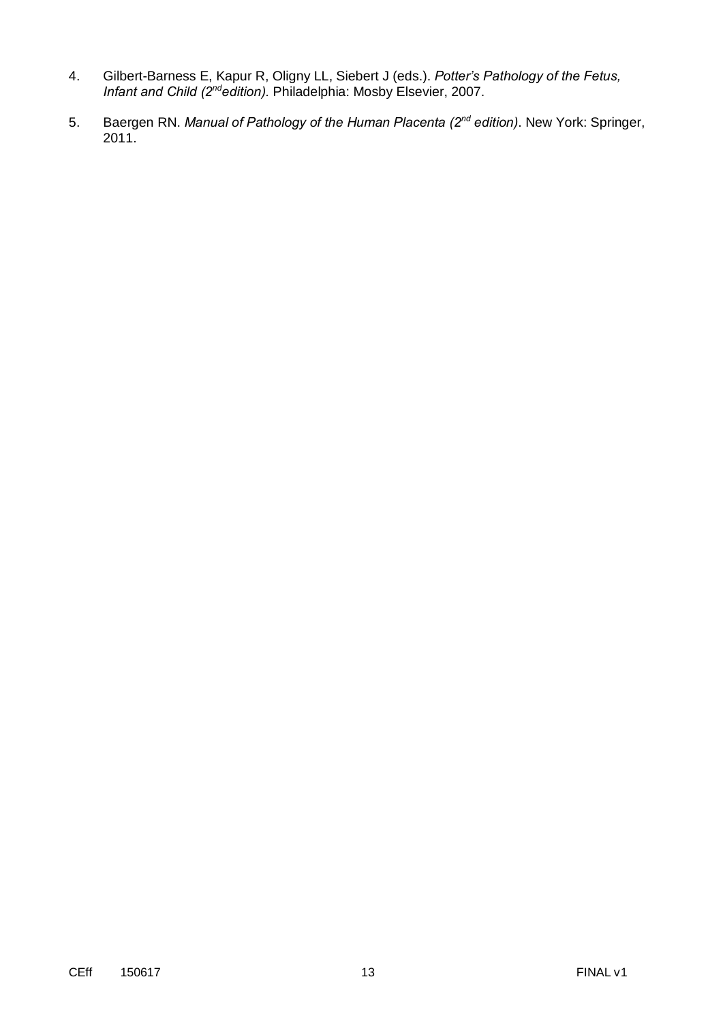- 4. Gilbert-Barness E, Kapur R, Oligny LL, Siebert J (eds.). *Potter's Pathology of the Fetus, Infant and Child (2ndedition).* Philadelphia: Mosby Elsevier, 2007.
- 5. Baergen RN. *Manual of Pathology of the Human Placenta (2nd edition)*. New York: Springer, 2011.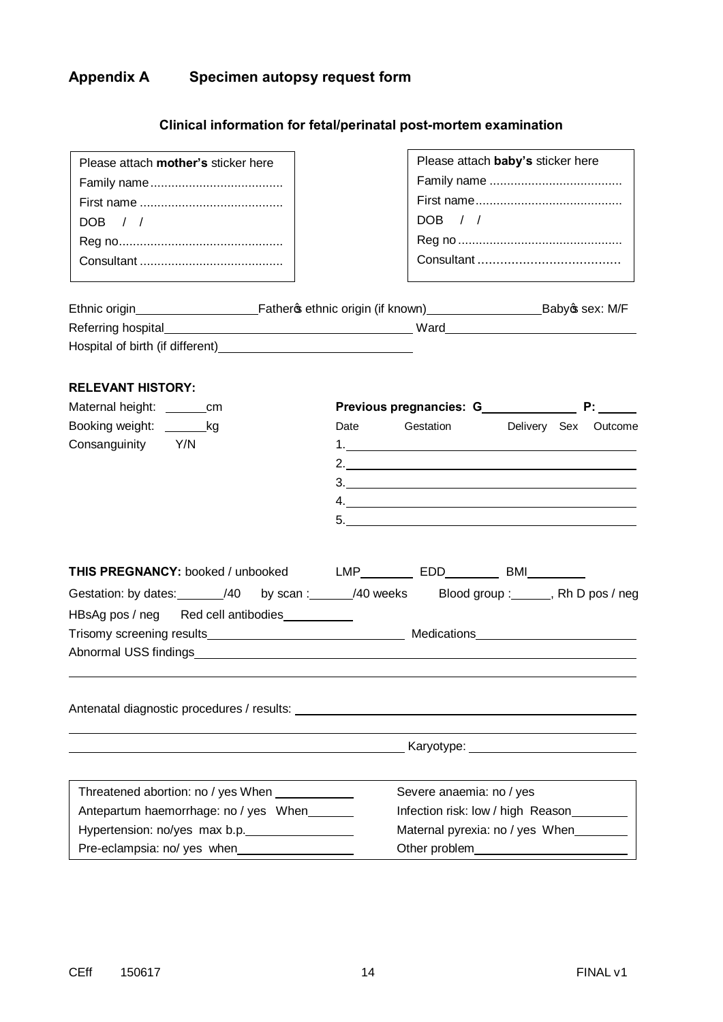# **Appendix A Specimen autopsy request form**

# **Clinical information for fetal/perinatal post-mortem examination**

| Please attach mother's sticker here                                                            |      |                                                                                                                                                                                                                                                                                                                        | Please attach baby's sticker here |  |
|------------------------------------------------------------------------------------------------|------|------------------------------------------------------------------------------------------------------------------------------------------------------------------------------------------------------------------------------------------------------------------------------------------------------------------------|-----------------------------------|--|
|                                                                                                |      |                                                                                                                                                                                                                                                                                                                        |                                   |  |
|                                                                                                |      |                                                                                                                                                                                                                                                                                                                        |                                   |  |
| DOB / /                                                                                        |      | DOB / /                                                                                                                                                                                                                                                                                                                |                                   |  |
|                                                                                                |      |                                                                                                                                                                                                                                                                                                                        |                                   |  |
|                                                                                                |      |                                                                                                                                                                                                                                                                                                                        |                                   |  |
|                                                                                                |      |                                                                                                                                                                                                                                                                                                                        |                                   |  |
|                                                                                                |      |                                                                                                                                                                                                                                                                                                                        |                                   |  |
|                                                                                                |      |                                                                                                                                                                                                                                                                                                                        |                                   |  |
|                                                                                                |      |                                                                                                                                                                                                                                                                                                                        |                                   |  |
|                                                                                                |      |                                                                                                                                                                                                                                                                                                                        |                                   |  |
| <b>RELEVANT HISTORY:</b>                                                                       |      |                                                                                                                                                                                                                                                                                                                        |                                   |  |
| Maternal height: ________cm                                                                    |      |                                                                                                                                                                                                                                                                                                                        |                                   |  |
| Booking weight: ________kg                                                                     | Date | Gestation                                                                                                                                                                                                                                                                                                              | Delivery Sex Outcome              |  |
| Consanguinity Y/N                                                                              |      |                                                                                                                                                                                                                                                                                                                        |                                   |  |
|                                                                                                |      | 2. $\frac{1}{2}$ $\frac{1}{2}$ $\frac{1}{2}$ $\frac{1}{2}$ $\frac{1}{2}$ $\frac{1}{2}$ $\frac{1}{2}$ $\frac{1}{2}$ $\frac{1}{2}$ $\frac{1}{2}$ $\frac{1}{2}$ $\frac{1}{2}$ $\frac{1}{2}$ $\frac{1}{2}$ $\frac{1}{2}$ $\frac{1}{2}$ $\frac{1}{2}$ $\frac{1}{2}$ $\frac{1}{2}$ $\frac{1}{2}$ $\frac{1}{2}$ $\frac{1}{2}$ |                                   |  |
|                                                                                                |      |                                                                                                                                                                                                                                                                                                                        |                                   |  |
|                                                                                                |      | 4.                                                                                                                                                                                                                                                                                                                     |                                   |  |
|                                                                                                |      |                                                                                                                                                                                                                                                                                                                        |                                   |  |
|                                                                                                |      |                                                                                                                                                                                                                                                                                                                        |                                   |  |
| THIS PREGNANCY: booked / unbooked LMP____________ EDD___________ BMI__________                 |      |                                                                                                                                                                                                                                                                                                                        |                                   |  |
| Gestation: by dates: _______/40 by scan : ______/40 weeks Blood group : ______, Rh D pos / neg |      |                                                                                                                                                                                                                                                                                                                        |                                   |  |
| HBsAg pos / neg Red cell antibodies                                                            |      |                                                                                                                                                                                                                                                                                                                        |                                   |  |
|                                                                                                |      |                                                                                                                                                                                                                                                                                                                        |                                   |  |
|                                                                                                |      |                                                                                                                                                                                                                                                                                                                        |                                   |  |
|                                                                                                |      |                                                                                                                                                                                                                                                                                                                        |                                   |  |
|                                                                                                |      |                                                                                                                                                                                                                                                                                                                        |                                   |  |
|                                                                                                |      |                                                                                                                                                                                                                                                                                                                        |                                   |  |
|                                                                                                |      |                                                                                                                                                                                                                                                                                                                        |                                   |  |
|                                                                                                |      |                                                                                                                                                                                                                                                                                                                        |                                   |  |
|                                                                                                |      |                                                                                                                                                                                                                                                                                                                        |                                   |  |
|                                                                                                |      |                                                                                                                                                                                                                                                                                                                        |                                   |  |
| Threatened abortion: no / yes When ____________                                                |      | Severe anaemia: no / yes                                                                                                                                                                                                                                                                                               |                                   |  |
| Antepartum haemorrhage: no / yes When                                                          |      | Infection risk: low / high Reason________                                                                                                                                                                                                                                                                              |                                   |  |
| Hypertension: no/yes max b.p.                                                                  |      | Maternal pyrexia: no / yes When                                                                                                                                                                                                                                                                                        |                                   |  |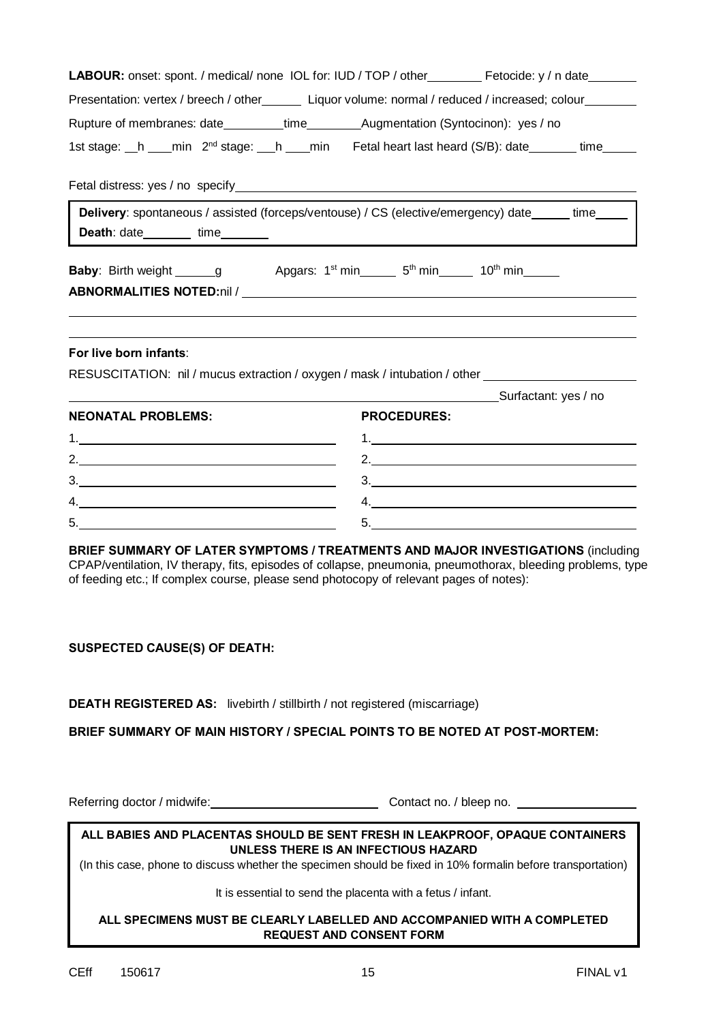|                                                                                                                               | <b>LABOUR:</b> onset: spont. / medical/ none IOL for: IUD / TOP / other Fetocide: y / n date                                                                                                   |
|-------------------------------------------------------------------------------------------------------------------------------|------------------------------------------------------------------------------------------------------------------------------------------------------------------------------------------------|
|                                                                                                                               | Presentation: vertex / breech / other________ Liquor volume: normal / reduced / increased; colour________                                                                                      |
|                                                                                                                               |                                                                                                                                                                                                |
|                                                                                                                               | 1st stage: h _ min 2 <sup>nd</sup> stage: h _ min Fetal heart last heard (S/B): date _ _ time                                                                                                  |
|                                                                                                                               |                                                                                                                                                                                                |
| Death: date_________ time________                                                                                             | Delivery: spontaneous / assisted (forceps/ventouse) / CS (elective/emergency) date _____ time_____  <br><u> 1980 - Andrea Andrew Maria (h. 1980).</u>                                          |
| <b>Baby:</b> Birth weight _______g Apgars: 1 <sup>st</sup> min________5 <sup>th</sup> min_________10 <sup>th</sup> min_______ |                                                                                                                                                                                                |
| For live born infants:                                                                                                        | RESUSCITATION: nil / mucus extraction / oxygen / mask / intubation / other<br>Surfactant: yes / no                                                                                             |
| <b>NEONATAL PROBLEMS:</b>                                                                                                     | <b>PROCEDURES:</b>                                                                                                                                                                             |
|                                                                                                                               |                                                                                                                                                                                                |
|                                                                                                                               | 2. $\overline{\phantom{a}}$                                                                                                                                                                    |
| $\begin{array}{c}\n3.\n\end{array}$                                                                                           | $\begin{array}{c} \n3. \quad \textcolor{red}{\overbrace{\text{2.22}}\text{ }} \end{array}$                                                                                                     |
| 4.                                                                                                                            | 4.                                                                                                                                                                                             |
| 5.                                                                                                                            | 5.                                                                                                                                                                                             |
| of feeding etc.; If complex course, please send photocopy of relevant pages of notes):                                        | BRIEF SUMMARY OF LATER SYMPTOMS / TREATMENTS AND MAJOR INVESTIGATIONS (including<br>CPAP/ventilation, IV therapy, fits, episodes of collapse, pneumonia, pneumothorax, bleeding problems, type |

#### **SUSPECTED CAUSE(S) OF DEATH:**

**DEATH REGISTERED AS:** livebirth / stillbirth / not registered (miscarriage)

**BRIEF SUMMARY OF MAIN HISTORY / SPECIAL POINTS TO BE NOTED AT POST-MORTEM:**

Referring doctor / midwife: Contact no. / bleep no.

#### **ALL BABIES AND PLACENTAS SHOULD BE SENT FRESH IN LEAKPROOF, OPAQUE CONTAINERS UNLESS THERE IS AN INFECTIOUS HAZARD**

(In this case, phone to discuss whether the specimen should be fixed in 10% formalin before transportation)

It is essential to send the placenta with a fetus / infant.

#### **ALL SPECIMENS MUST BE CLEARLY LABELLED AND ACCOMPANIED WITH A COMPLETED REQUEST AND CONSENT FORM**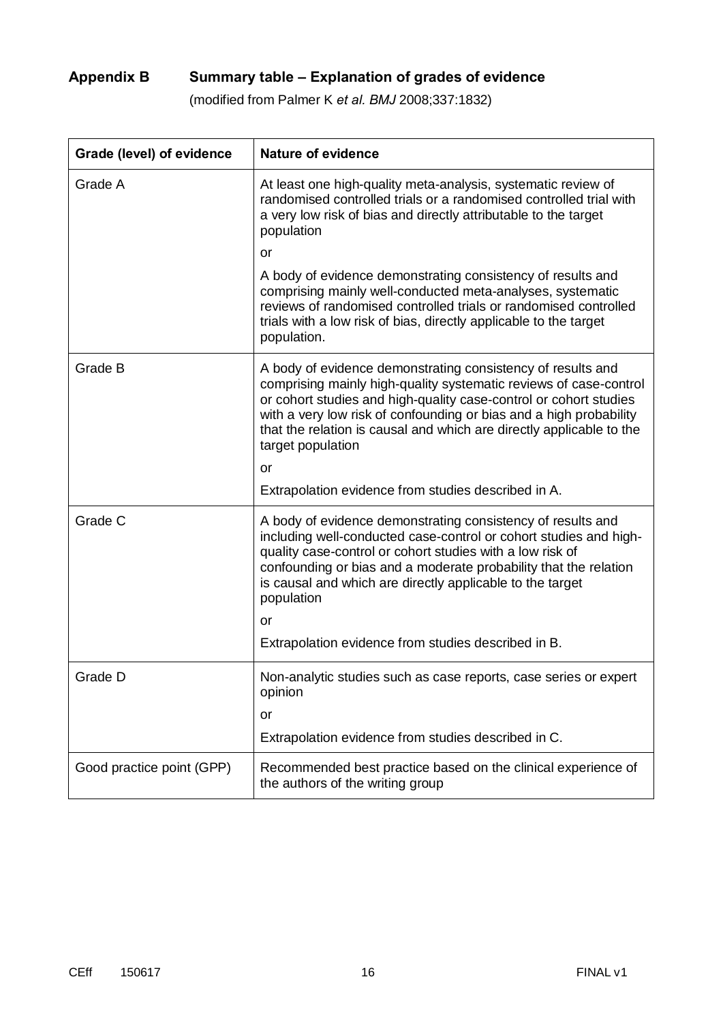# **Appendix B Summary table – Explanation of grades of evidence**

(modified from Palmer K *et al. BMJ* 2008;337:1832)

| Grade (level) of evidence | <b>Nature of evidence</b>                                                                                                                                                                                                                                                                                                                                                |
|---------------------------|--------------------------------------------------------------------------------------------------------------------------------------------------------------------------------------------------------------------------------------------------------------------------------------------------------------------------------------------------------------------------|
| Grade A                   | At least one high-quality meta-analysis, systematic review of<br>randomised controlled trials or a randomised controlled trial with<br>a very low risk of bias and directly attributable to the target<br>population                                                                                                                                                     |
|                           | <b>or</b>                                                                                                                                                                                                                                                                                                                                                                |
|                           | A body of evidence demonstrating consistency of results and<br>comprising mainly well-conducted meta-analyses, systematic<br>reviews of randomised controlled trials or randomised controlled<br>trials with a low risk of bias, directly applicable to the target<br>population.                                                                                        |
| Grade B                   | A body of evidence demonstrating consistency of results and<br>comprising mainly high-quality systematic reviews of case-control<br>or cohort studies and high-quality case-control or cohort studies<br>with a very low risk of confounding or bias and a high probability<br>that the relation is causal and which are directly applicable to the<br>target population |
|                           | or                                                                                                                                                                                                                                                                                                                                                                       |
|                           | Extrapolation evidence from studies described in A.                                                                                                                                                                                                                                                                                                                      |
| Grade C                   | A body of evidence demonstrating consistency of results and<br>including well-conducted case-control or cohort studies and high-<br>quality case-control or cohort studies with a low risk of<br>confounding or bias and a moderate probability that the relation<br>is causal and which are directly applicable to the target<br>population                             |
|                           | or                                                                                                                                                                                                                                                                                                                                                                       |
|                           | Extrapolation evidence from studies described in B.                                                                                                                                                                                                                                                                                                                      |
| Grade D                   | Non-analytic studies such as case reports, case series or expert<br>opinion                                                                                                                                                                                                                                                                                              |
|                           | or                                                                                                                                                                                                                                                                                                                                                                       |
|                           | Extrapolation evidence from studies described in C.                                                                                                                                                                                                                                                                                                                      |
| Good practice point (GPP) | Recommended best practice based on the clinical experience of<br>the authors of the writing group                                                                                                                                                                                                                                                                        |